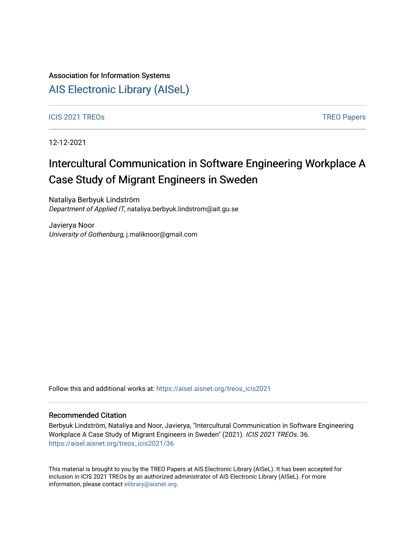### Association for Information Systems

## [AIS Electronic Library \(AISeL\)](https://aisel.aisnet.org/)

### ICIS 2021 TREOS Notes that the contract of the contract of the contract of the contract of the contract of the contract of the contract of the contract of the contract of the contract of the contract of the contract of the

12-12-2021

# Intercultural Communication in Software Engineering Workplace A Case Study of Migrant Engineers in Sweden

Nataliya Berbyuk Lindström Department of Applied IT, nataliya.berbyuk.lindstrom@ait.gu.se

Javierya Noor University of Gothenburg, j.maliknoor@gmail.com

Follow this and additional works at: [https://aisel.aisnet.org/treos\\_icis2021](https://aisel.aisnet.org/treos_icis2021?utm_source=aisel.aisnet.org%2Ftreos_icis2021%2F36&utm_medium=PDF&utm_campaign=PDFCoverPages) 

### Recommended Citation

Berbyuk Lindström, Nataliya and Noor, Javierya, "Intercultural Communication in Software Engineering Workplace A Case Study of Migrant Engineers in Sweden" (2021). ICIS 2021 TREOs. 36. [https://aisel.aisnet.org/treos\\_icis2021/36](https://aisel.aisnet.org/treos_icis2021/36?utm_source=aisel.aisnet.org%2Ftreos_icis2021%2F36&utm_medium=PDF&utm_campaign=PDFCoverPages) 

This material is brought to you by the TREO Papers at AIS Electronic Library (AISeL). It has been accepted for inclusion in ICIS 2021 TREOs by an authorized administrator of AIS Electronic Library (AISeL). For more information, please contact [elibrary@aisnet.org.](mailto:elibrary@aisnet.org%3E)